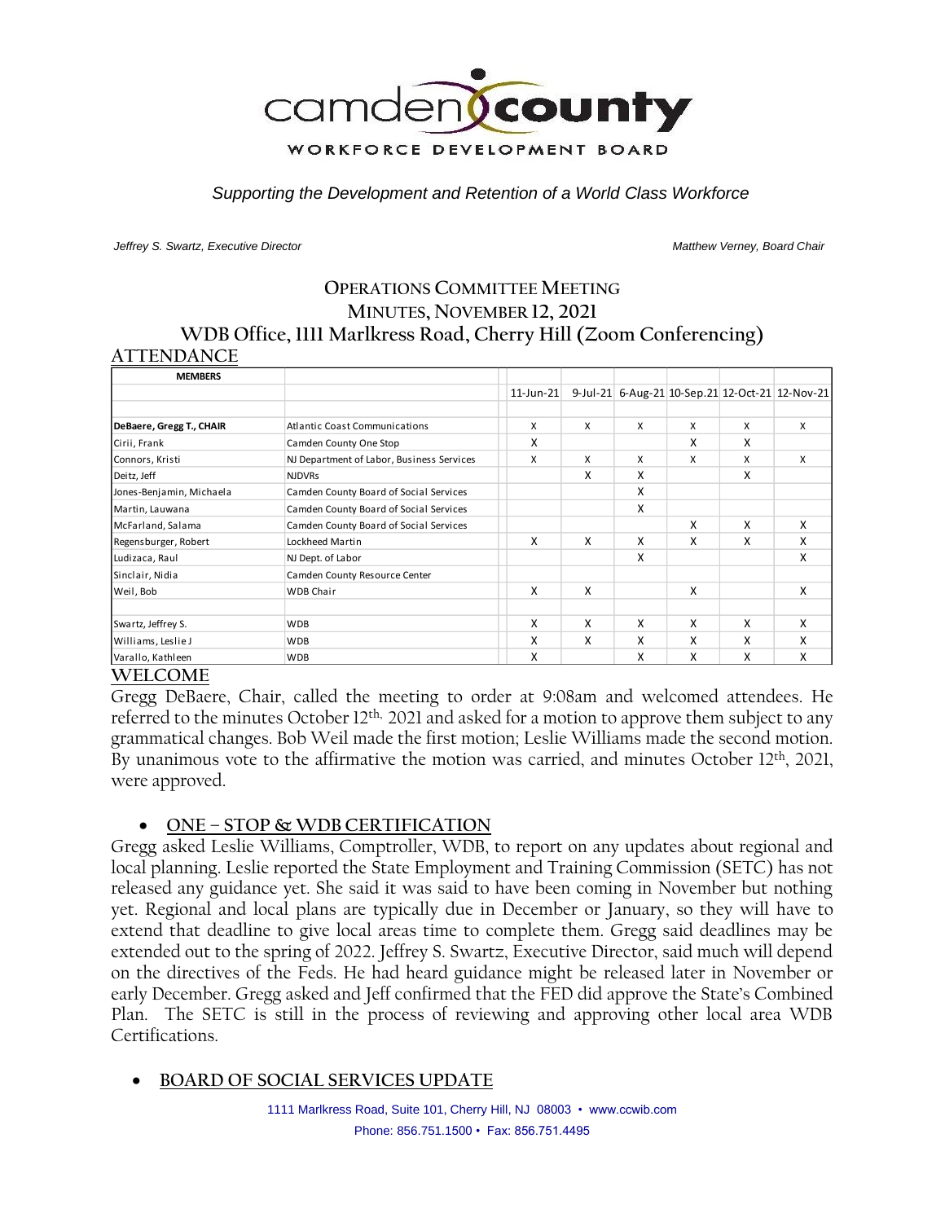

*Supporting the Development and Retention of a World Class Workforce*

*Jeffrey S. Swartz, Executive Director Matthew Verney, Board Chair* 

# **OPERATIONS COMMITTEE MEETING MINUTES, NOVEMBER 12, 2021 WDB Office, 1111 Marlkress Road, Cherry Hill (Zoom Conferencing) ATTENDANCE**

| <b>MEMBERS</b>           |                                           |           |   |   |   |   |                                                 |
|--------------------------|-------------------------------------------|-----------|---|---|---|---|-------------------------------------------------|
|                          |                                           | 11-Jun-21 |   |   |   |   | 9-Jul-21 6-Aug-21 10-Sep.21 12-Oct-21 12-Nov-21 |
|                          |                                           |           |   |   |   |   |                                                 |
| DeBaere, Gregg T., CHAIR | <b>Atlantic Coast Communications</b>      | X         | X | X | X | X | X                                               |
| Cirii, Frank             | Camden County One Stop                    | X         |   |   | X | X |                                                 |
| Connors, Kristi          | NJ Department of Labor, Business Services | X         | X | X | X | X | X                                               |
| Deitz, Jeff              | <b>NJDVRs</b>                             |           | X | x |   | X |                                                 |
| Jones-Benjamin, Michaela | Camden County Board of Social Services    |           |   | x |   |   |                                                 |
| Martin, Lauwana          | Camden County Board of Social Services    |           |   | X |   |   |                                                 |
| McFarland, Salama        | Camden County Board of Social Services    |           |   |   | X | X | X                                               |
| Regensburger, Robert     | Lockheed Martin                           | X         | X | X | X | x | X                                               |
| Ludizaca, Raul           | NJ Dept. of Labor                         |           |   | X |   |   | X                                               |
| Sinclair, Nidia          | Camden County Resource Center             |           |   |   |   |   |                                                 |
| Weil, Bob                | <b>WDB Chair</b>                          | X         | X |   | X |   | X                                               |
|                          |                                           |           |   |   |   |   |                                                 |
| Swartz, Jeffrey S.       | <b>WDB</b>                                | X         | x | X | X | X | X                                               |
| Williams, Leslie J       | <b>WDB</b>                                | X         | Χ | X | x | X | X                                               |
| Varallo, Kathleen        | <b>WDB</b>                                | X         |   | x | X | x | X                                               |

### **WELCOME**

Gregg DeBaere, Chair, called the meeting to order at 9:08am and welcomed attendees. He referred to the minutes October 12<sup>th,</sup> 2021 and asked for a motion to approve them subject to any grammatical changes. Bob Weil made the first motion; Leslie Williams made the second motion. By unanimous vote to the affirmative the motion was carried, and minutes October 12<sup>th</sup>, 2021, were approved.

### • **ONE – STOP & WDB CERTIFICATION**

Gregg asked Leslie Williams, Comptroller, WDB, to report on any updates about regional and local planning. Leslie reported the State Employment and Training Commission (SETC) has not released any guidance yet. She said it was said to have been coming in November but nothing yet. Regional and local plans are typically due in December or January, so they will have to extend that deadline to give local areas time to complete them. Gregg said deadlines may be extended out to the spring of 2022. Jeffrey S. Swartz, Executive Director, said much will depend on the directives of the Feds. He had heard guidance might be released later in November or early December. Gregg asked and Jeff confirmed that the FED did approve the State's Combined Plan. The SETC is still in the process of reviewing and approving other local area WDB Certifications.

# • **BOARD OF SOCIAL SERVICES UPDATE**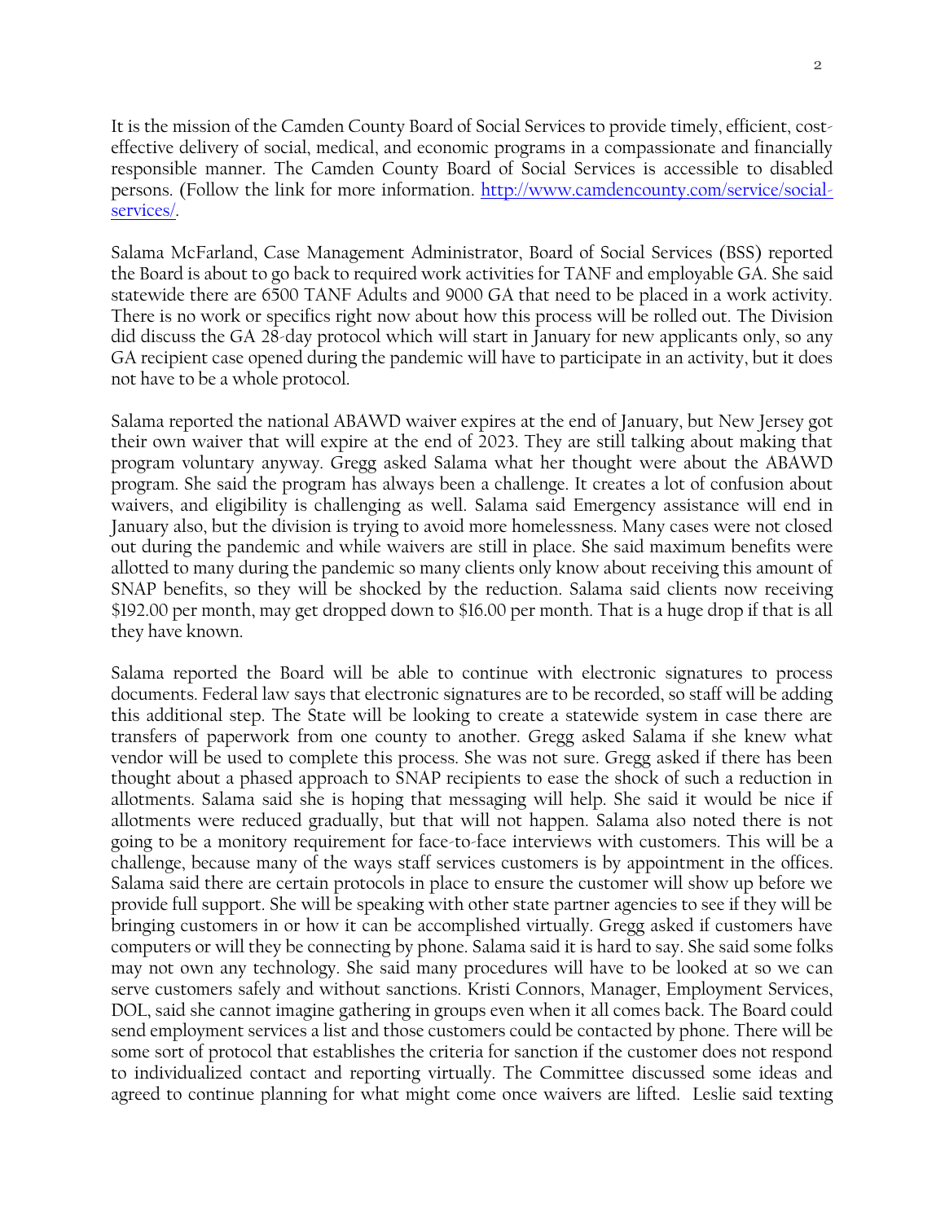$\mathfrak{O}$ 

It is the mission of the Camden County Board of Social Services to provide timely, efficient, costeffective delivery of social, medical, and economic programs in a compassionate and financially responsible manner. The Camden County Board of Social Services is accessible to disabled persons. (Follow the link for more information. [http://www.camdencounty.com/service/social](http://www.camdencounty.com/service/social-services/)[services/.](http://www.camdencounty.com/service/social-services/)

Salama McFarland, Case Management Administrator, Board of Social Services (BSS) reported the Board is about to go back to required work activities for TANF and employable GA. She said statewide there are 6500 TANF Adults and 9000 GA that need to be placed in a work activity. There is no work or specifics right now about how this process will be rolled out. The Division did discuss the GA 28-day protocol which will start in January for new applicants only, so any GA recipient case opened during the pandemic will have to participate in an activity, but it does not have to be a whole protocol.

Salama reported the national ABAWD waiver expires at the end of January, but New Jersey got their own waiver that will expire at the end of 2023. They are still talking about making that program voluntary anyway. Gregg asked Salama what her thought were about the ABAWD program. She said the program has always been a challenge. It creates a lot of confusion about waivers, and eligibility is challenging as well. Salama said Emergency assistance will end in January also, but the division is trying to avoid more homelessness. Many cases were not closed out during the pandemic and while waivers are still in place. She said maximum benefits were allotted to many during the pandemic so many clients only know about receiving this amount of SNAP benefits, so they will be shocked by the reduction. Salama said clients now receiving \$192.00 per month, may get dropped down to \$16.00 per month. That is a huge drop if that is all they have known.

Salama reported the Board will be able to continue with electronic signatures to process documents. Federal law says that electronic signatures are to be recorded, so staff will be adding this additional step. The State will be looking to create a statewide system in case there are transfers of paperwork from one county to another. Gregg asked Salama if she knew what vendor will be used to complete this process. She was not sure. Gregg asked if there has been thought about a phased approach to SNAP recipients to ease the shock of such a reduction in allotments. Salama said she is hoping that messaging will help. She said it would be nice if allotments were reduced gradually, but that will not happen. Salama also noted there is not going to be a monitory requirement for face-to-face interviews with customers. This will be a challenge, because many of the ways staff services customers is by appointment in the offices. Salama said there are certain protocols in place to ensure the customer will show up before we provide full support. She will be speaking with other state partner agencies to see if they will be bringing customers in or how it can be accomplished virtually. Gregg asked if customers have computers or will they be connecting by phone. Salama said it is hard to say. She said some folks may not own any technology. She said many procedures will have to be looked at so we can serve customers safely and without sanctions. Kristi Connors, Manager, Employment Services, DOL, said she cannot imagine gathering in groups even when it all comes back. The Board could send employment services a list and those customers could be contacted by phone. There will be some sort of protocol that establishes the criteria for sanction if the customer does not respond to individualized contact and reporting virtually. The Committee discussed some ideas and agreed to continue planning for what might come once waivers are lifted. Leslie said texting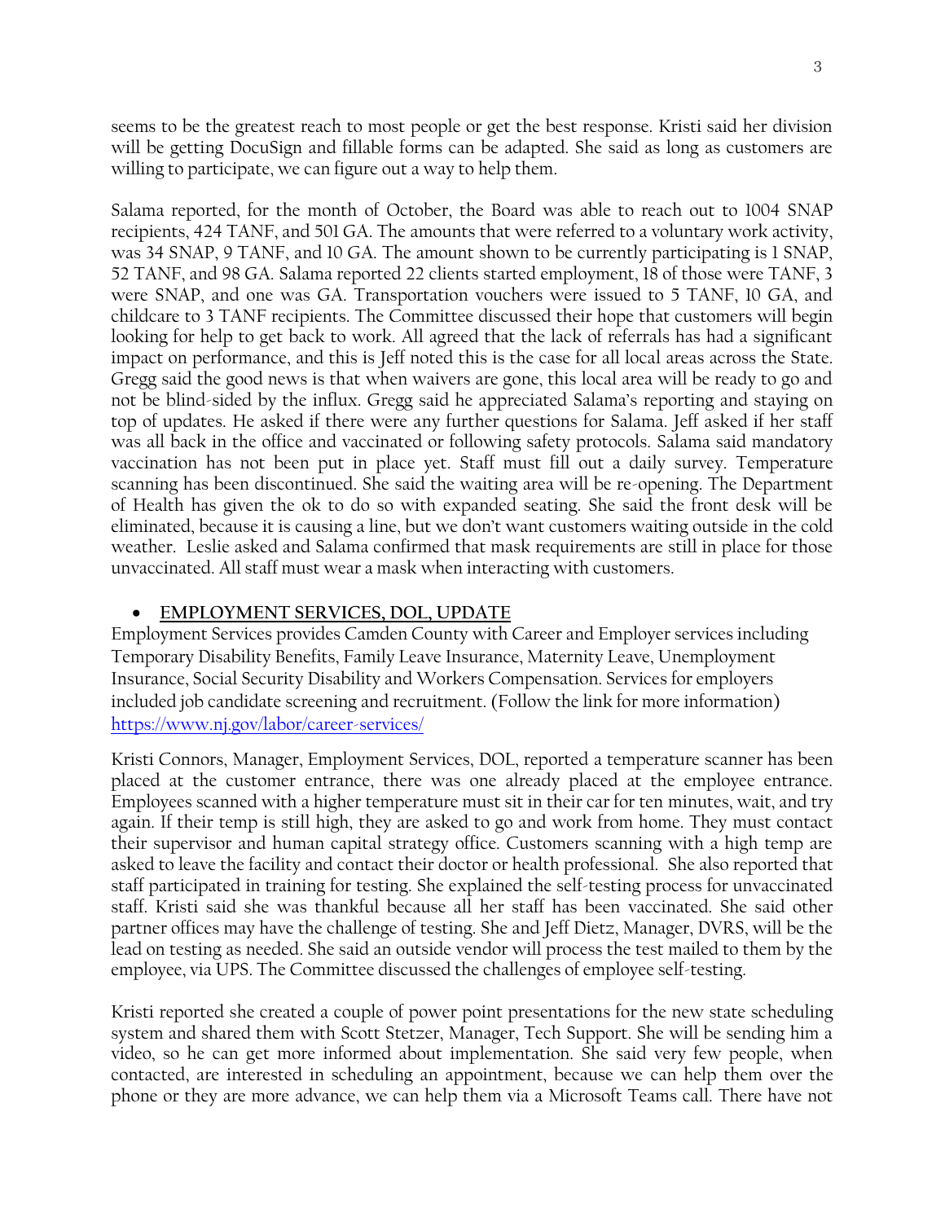seems to be the greatest reach to most people or get the best response. Kristi said her division will be getting DocuSign and fillable forms can be adapted. She said as long as customers are willing to participate, we can figure out a way to help them.

Salama reported, for the month of October, the Board was able to reach out to 1004 SNAP recipients, 424 TANF, and 501 GA. The amounts that were referred to a voluntary work activity, was 34 SNAP, 9 TANF, and 10 GA. The amount shown to be currently participating is 1 SNAP, 52 TANF, and 98 GA. Salama reported 22 clients started employment, 18 of those were TANF, 3 were SNAP, and one was GA. Transportation vouchers were issued to 5 TANF, 10 GA, and childcare to 3 TANF recipients. The Committee discussed their hope that customers will begin looking for help to get back to work. All agreed that the lack of referrals has had a significant impact on performance, and this is Jeff noted this is the case for all local areas across the State. Gregg said the good news is that when waivers are gone, this local area will be ready to go and not be blind-sided by the influx. Gregg said he appreciated Salama's reporting and staying on top of updates. He asked if there were any further questions for Salama. Jeff asked if her staff was all back in the office and vaccinated or following safety protocols. Salama said mandatory vaccination has not been put in place yet. Staff must fill out a daily survey. Temperature scanning has been discontinued. She said the waiting area will be re-opening. The Department of Health has given the ok to do so with expanded seating. She said the front desk will be eliminated, because it is causing a line, but we don't want customers waiting outside in the cold weather. Leslie asked and Salama confirmed that mask requirements are still in place for those unvaccinated. All staff must wear a mask when interacting with customers.

#### • **EMPLOYMENT SERVICES, DOL, UPDATE**

Employment Services provides Camden County with Career and Employer services including Temporary Disability Benefits, Family Leave Insurance, Maternity Leave, Unemployment Insurance, Social Security Disability and Workers Compensation. Services for employers included job candidate screening and recruitment. (Follow the link for more information) <https://www.nj.gov/labor/career-services/>

Kristi Connors, Manager, Employment Services, DOL, reported a temperature scanner has been placed at the customer entrance, there was one already placed at the employee entrance. Employees scanned with a higher temperature must sit in their car for ten minutes, wait, and try again. If their temp is still high, they are asked to go and work from home. They must contact their supervisor and human capital strategy office. Customers scanning with a high temp are asked to leave the facility and contact their doctor or health professional. She also reported that staff participated in training for testing. She explained the self-testing process for unvaccinated staff. Kristi said she was thankful because all her staff has been vaccinated. She said other partner offices may have the challenge of testing. She and Jeff Dietz, Manager, DVRS, will be the lead on testing as needed. She said an outside vendor will process the test mailed to them by the employee, via UPS. The Committee discussed the challenges of employee self-testing.

Kristi reported she created a couple of power point presentations for the new state scheduling system and shared them with Scott Stetzer, Manager, Tech Support. She will be sending him a video, so he can get more informed about implementation. She said very few people, when contacted, are interested in scheduling an appointment, because we can help them over the phone or they are more advance, we can help them via a Microsoft Teams call. There have not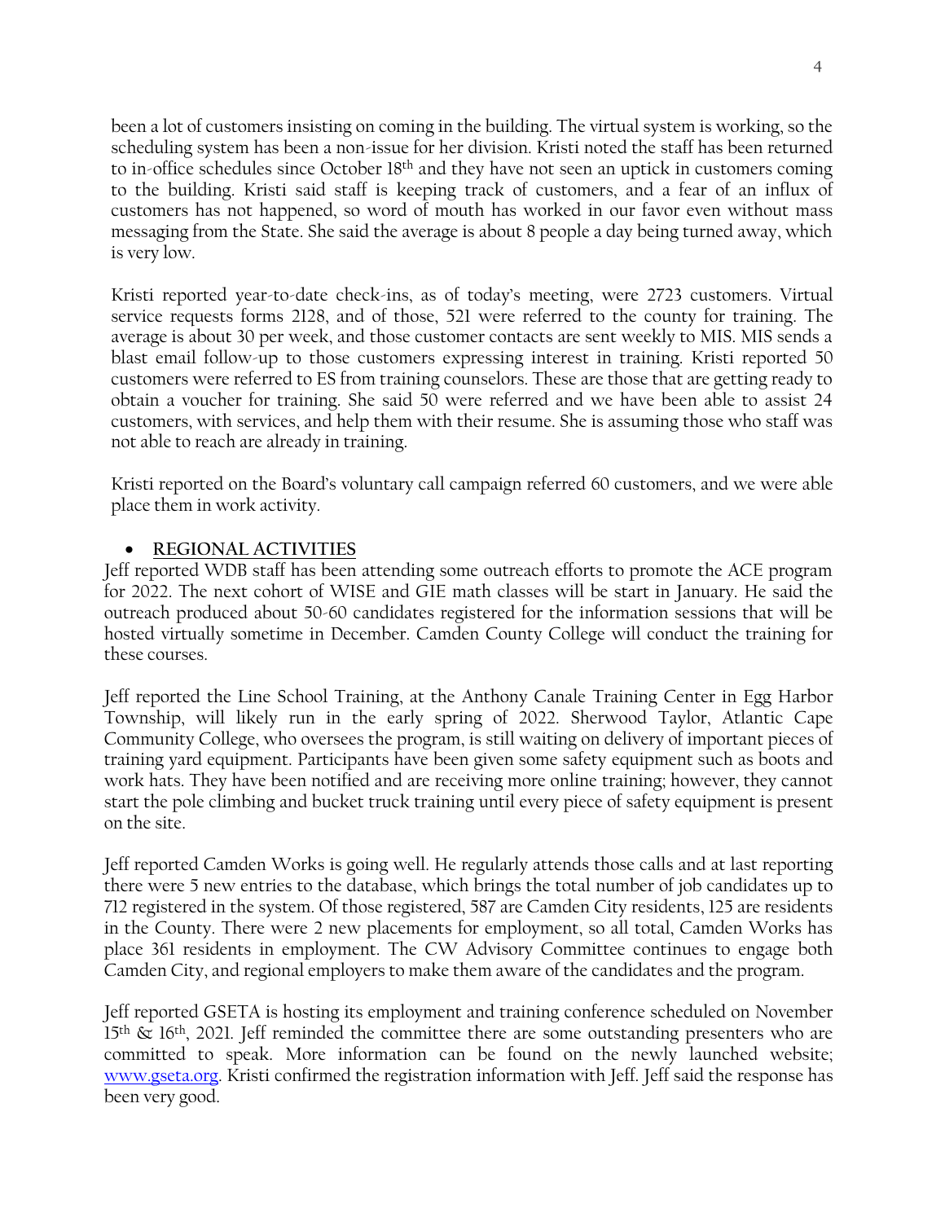been a lot of customers insisting on coming in the building. The virtual system is working, so the scheduling system has been a non-issue for her division. Kristi noted the staff has been returned to in-office schedules since October 18<sup>th</sup> and they have not seen an uptick in customers coming to the building. Kristi said staff is keeping track of customers, and a fear of an influx of customers has not happened, so word of mouth has worked in our favor even without mass messaging from the State. She said the average is about 8 people a day being turned away, which is very low.

Kristi reported year-to-date check-ins, as of today's meeting, were 2723 customers. Virtual service requests forms 2128, and of those, 521 were referred to the county for training. The average is about 30 per week, and those customer contacts are sent weekly to MIS. MIS sends a blast email follow-up to those customers expressing interest in training. Kristi reported 50 customers were referred to ES from training counselors. These are those that are getting ready to obtain a voucher for training. She said 50 were referred and we have been able to assist 24 customers, with services, and help them with their resume. She is assuming those who staff was not able to reach are already in training.

Kristi reported on the Board's voluntary call campaign referred 60 customers, and we were able place them in work activity.

# • **REGIONAL ACTIVITIES**

Jeff reported WDB staff has been attending some outreach efforts to promote the ACE program for 2022. The next cohort of WISE and GIE math classes will be start in January. He said the outreach produced about 50-60 candidates registered for the information sessions that will be hosted virtually sometime in December. Camden County College will conduct the training for these courses.

Jeff reported the Line School Training, at the Anthony Canale Training Center in Egg Harbor Township, will likely run in the early spring of 2022. Sherwood Taylor, Atlantic Cape Community College, who oversees the program, is still waiting on delivery of important pieces of training yard equipment. Participants have been given some safety equipment such as boots and work hats. They have been notified and are receiving more online training; however, they cannot start the pole climbing and bucket truck training until every piece of safety equipment is present on the site.

Jeff reported Camden Works is going well. He regularly attends those calls and at last reporting there were 5 new entries to the database, which brings the total number of job candidates up to 712 registered in the system. Of those registered, 587 are Camden City residents, 125 are residents in the County. There were 2 new placements for employment, so all total, Camden Works has place 361 residents in employment. The CW Advisory Committee continues to engage both Camden City, and regional employers to make them aware of the candidates and the program.

Jeff reported GSETA is hosting its employment and training conference scheduled on November 15<sup>th</sup> & 16<sup>th</sup>, 2021. Jeff reminded the committee there are some outstanding presenters who are committed to speak. More information can be found on the newly launched website; [www.gseta.org.](http://www.gseta.org/) Kristi confirmed the registration information with Jeff. Jeff said the response has been very good.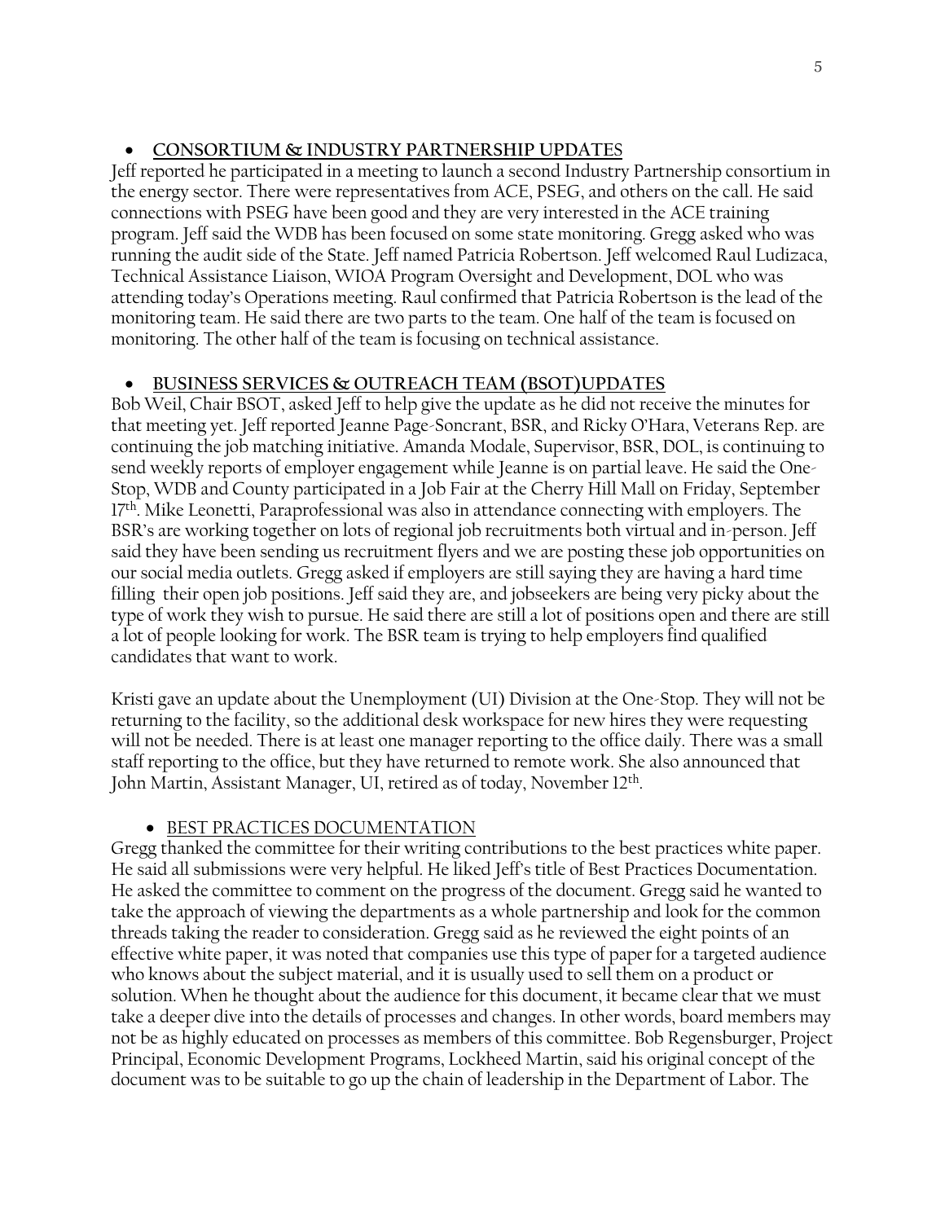# • **CONSORTIUM & INDUSTRY PARTNERSHIP UPDATE**S

Jeff reported he participated in a meeting to launch a second Industry Partnership consortium in the energy sector. There were representatives from ACE, PSEG, and others on the call. He said connections with PSEG have been good and they are very interested in the ACE training program. Jeff said the WDB has been focused on some state monitoring. Gregg asked who was running the audit side of the State. Jeff named Patricia Robertson. Jeff welcomed Raul Ludizaca, Technical Assistance Liaison, WIOA Program Oversight and Development, DOL who was attending today's Operations meeting. Raul confirmed that Patricia Robertson is the lead of the monitoring team. He said there are two parts to the team. One half of the team is focused on monitoring. The other half of the team is focusing on technical assistance.

# • **BUSINESS SERVICES & OUTREACH TEAM (BSOT)UPDATES**

Bob Weil, Chair BSOT, asked Jeff to help give the update as he did not receive the minutes for that meeting yet. Jeff reported Jeanne Page-Soncrant, BSR, and Ricky O'Hara, Veterans Rep. are continuing the job matching initiative. Amanda Modale, Supervisor, BSR, DOL, is continuing to send weekly reports of employer engagement while Jeanne is on partial leave. He said the One-Stop, WDB and County participated in a Job Fair at the Cherry Hill Mall on Friday, September 17<sup>th</sup>. Mike Leonetti, Paraprofessional was also in attendance connecting with employers. The BSR's are working together on lots of regional job recruitments both virtual and in-person. Jeff said they have been sending us recruitment flyers and we are posting these job opportunities on our social media outlets. Gregg asked if employers are still saying they are having a hard time filling their open job positions. Jeff said they are, and jobseekers are being very picky about the type of work they wish to pursue. He said there are still a lot of positions open and there are still a lot of people looking for work. The BSR team is trying to help employers find qualified candidates that want to work.

Kristi gave an update about the Unemployment (UI) Division at the One-Stop. They will not be returning to the facility, so the additional desk workspace for new hires they were requesting will not be needed. There is at least one manager reporting to the office daily. There was a small staff reporting to the office, but they have returned to remote work. She also announced that John Martin, Assistant Manager, UI, retired as of today, November 12<sup>th</sup>.

# • BEST PRACTICES DOCUMENTATION

Gregg thanked the committee for their writing contributions to the best practices white paper. He said all submissions were very helpful. He liked Jeff's title of Best Practices Documentation. He asked the committee to comment on the progress of the document. Gregg said he wanted to take the approach of viewing the departments as a whole partnership and look for the common threads taking the reader to consideration. Gregg said as he reviewed the eight points of an effective white paper, it was noted that companies use this type of paper for a targeted audience who knows about the subject material, and it is usually used to sell them on a product or solution. When he thought about the audience for this document, it became clear that we must take a deeper dive into the details of processes and changes. In other words, board members may not be as highly educated on processes as members of this committee. Bob Regensburger, Project Principal, Economic Development Programs, Lockheed Martin, said his original concept of the document was to be suitable to go up the chain of leadership in the Department of Labor. The